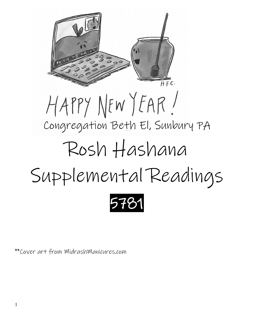

\*\*Cover art from MidrashManicures.com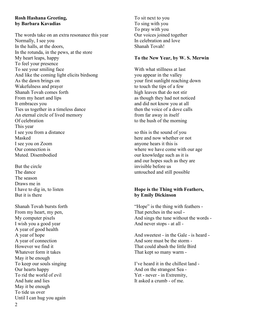#### **Rosh Hashana Greeting, by Barbara Kavadias**

The words take on an extra resonance this year Normally, I see you In the halls, at the doors, In the rotunda, in the pews, at the store My heart leaps, happy To feel your presence To see your smiling face And like the coming light elicits birdsong As the dawn brings on Wakefulness and prayer Shanah Tovah comes forth From my heart and lips It embraces you Ties us together in a timeless dance An eternal circle of lived memory Of celebration This year I see you from a distance Masked I see you on Zoom Our connection is Muted. Disembodied

But the circle The dance The season Draws me in I have to dig in, to listen But it is there

Shanah Tovah bursts forth From my heart, my pen, My computer pixels I wish you a good year A year of good health A year of hope A year of connection However we find it Whatever form it takes May it be enough To keep our souls singing Our hearts happy To rid the world of evil And hate and lies May it be enough To tide us over Until I can hug you again

To sit next to you To sing with you To pray with you Our voices joined together In celebration and love Shanah Tovah!

#### **To the New Year, by [W. S. Merwin](about:blank)**

With what stillness at last you appear in the valley your first sunlight reaching down to touch the tips of a few high leaves that do not stir as though they had not noticed and did not know you at all then the voice of a dove calls from far away in itself to the hush of the morning

so this is the sound of you here and now whether or not anyone hears it this is where we have come with our age our knowledge such as it is and our hopes such as they are invisible before us untouched and still possible

## **Hope is the Thing with Feathers, by Emily Dickinson**

"Hope" is the thing with feathers - That perches in the soul - And sings the tune without the words - And never stops - at all -

And sweetest - in the Gale - is heard - And sore must be the storm - That could abash the little Bird That kept so many warm -

I've heard it in the chillest land - And on the strangest Sea - Yet - never - in Extremity, It asked a crumb - of me.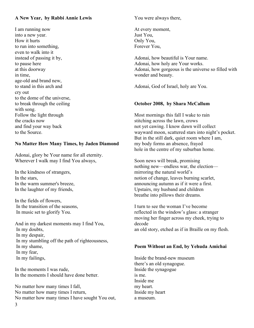# **A New Year, by Rabbi Annie Lewis**

I am running now into a new year. How it hurts to run into something, even to walk into it instead of passing it by, to pause here at this doorway in time, age-old and brand new, to stand in this arch and cry out to the dome of the universe, to break through the ceiling with song. Follow the light through the cracks now and find your way back to the Source.

# **No Matter How Many Times, by Jaden Diamond**

Adonai, glory be Your name for all eternity. Wherever I walk may I find You always,

In the kindness of strangers, In the stars, In the warm summer's breeze, In the laughter of my friends,

In the fields of flowers, In the transition of the seasons, In music set to glorify You.

And in my darkest moments may I find You, In my doubts, In my despair, In my stumbling off the path of righteousness, In my shame, In my fear, In my failings,

In the moments I was rude, In the moments I should have done better.

No matter how many times I fall, No matter how many times I return, No matter how many times I have sought You out, You were always there,

At every moment, Just You, Only You, Forever You,

Adonai, how beautiful is Your name. Adonai, how holy are Your works. Adonai, how gorgeous is the universe so filled with wonder and beauty.

Adonai, God of [Israel,](about:blank#term234) holy are You.

# **October 2008, by Shara McCallum**

Most mornings this fall I wake to rain stitching across the lawn, crows not yet cawing. I know dawn will collect wayward moon, scattered stars into night's pocket. But in the still dark, quiet room where I am, my body forms an absence, frayed hole in the centre of my suburban home.

Soon news will break, promising nothing new—endless war, the election mirroring the natural world's notion of change, leaves burning scarlet, announcing autumn as if it were a first. Upstairs, my husband and children breathe into pillows their dreams.

I turn to see the woman I've become reflected in the window's glass: a stranger moving her finger across my cheek, trying to decode an old story, etched as if in Braille on my flesh.

## **Poem Without an End, by Yehuda Amichai**

Inside the brand-new museum there's an old synagogue. Inside the synagogue is me. Inside me my heart. Inside my heart a museum.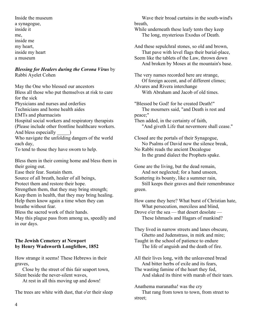Inside the museum a synagogue, inside it me, inside me my heart, inside my heart a museum

## *Blessing for Healers during the Corona Virus* by Rabbi Ayelet Cohen

May the One who blessed our ancestors Bless all those who put themselves at risk to care for the sick Physicians and nurses and orderlies Technicians and home health aides EMTs and pharmacists Hospital social workers and respiratory therapists (Please include other frontline healthcare workers. And bless especially Who navigate the unfolding dangers of the world each day, To tend to those they have sworn to help.

Bless them in their coming home and bless them in their going out.

Ease their fear. Sustain them.

Source of all breath, healer of all beings,

Protect them and restore their hope.

Strengthen them, that they may bring strength; Keep them in health, that they may bring healing. Help them know again a time when they can breathe without fear.

Bless the sacred work of their hands.

May this plague pass from among us, speedily and in our days.

# **The Jewish Cemetery at Newport by Henry Wadsworth Longfellow, 1852**

How strange it seems! These Hebrews in their graves,

 Close by the street of this fair seaport town, Silent beside the never-silent waves,

At rest in all this moving up and down!

The trees are white with dust, that o'er their sleep

 Wave their broad curtains in the south-wind's breath,

While underneath these leafy tents they keep The long, mysterious Exodus of Death.

And these sepulchral stones, so old and brown, That pave with level flags their burial-place, Seem like the tablets of the Law, thrown down And broken by Moses at the mountain's base.

The very names recorded here are strange, Of foreign accent, and of different climes; Alvares and Rivera interchange With Abraham and Jacob of old times.

"Blessed be God! for he created Death!" The mourners said, "and Death is rest and peace;" Then added, in the certainty of faith,

"And giveth Life that nevermore shall cease."

Closed are the portals of their Synagogue, No Psalms of David now the silence break,

No Rabbi reads the ancient Decalogue In the grand dialect the Prophets spake.

Gone are the living, but the dead remain, And not neglected; for a hand unseen, Scattering its bounty, like a summer rain, Still keeps their graves and their remembrance green.

How came they here? What burst of Christian hate, What persecution, merciless and blind,

Drove o'er the sea — that desert desolate — These Ishmaels and Hagars of mankind?

They lived in narrow streets and lanes obscure, Ghetto and Judenstrass, in mirk and mire; Taught in the school of patience to endure

The life of anguish and the death of fire.

All their lives long, with the unleavened bread And bitter herbs of exile and its fears,

The wasting famine of the heart they fed, And slaked its thirst with marah of their tears.

Anathema maranatha! was the cry That rang from town to town, from street to street;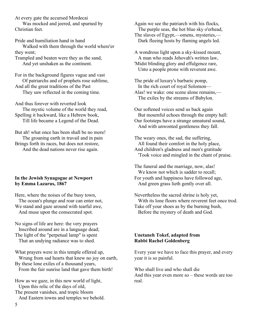At every gate the accursed Mordecai

 Was mocked and jeered, and spurned by Christian feet.

Pride and humiliation hand in hand Walked with them through the world where'er they went;

Trampled and beaten were they as the sand, And yet unshaken as the continent.

For in the background figures vague and vast Of patriarchs and of prophets rose sublime, And all the great traditions of the Past They saw reflected in the coming time.

And thus forever with reverted look The mystic volume of the world they read, Spelling it backward, like a Hebrew book, Till life became a Legend of the Dead.

But ah! what once has been shall be no more! The groaning earth in travail and in pain Brings forth its races, but does not restore, And the dead nations never rise again.

# **In the Jewish Synagogue at Newport by Emma Lazarus, 1867**

Here, where the noises of the busy town, The ocean's plunge and roar can enter not, We stand and gaze around with tearful awe, And muse upon the consecrated spot.

No signs of life are here: the very prayers Inscribed around are in a language dead; The light of the "perpetual lamp" is spent That an undying radiance was to shed.

What prayers were in this temple offered up, Wrung from sad hearts that knew no joy on earth, By these lone exiles of a thousand years, From the fair sunrise land that gave them birth!

How as we gaze, in this new world of light, Upon this relic of the days of old, The present vanishes, and tropic bloom And Eastern towns and temples we behold. Again we see the patriarch with his flocks, The purple seas, the hot blue sky o'erhead, The slaves of Egypt,—omens, mysteries,— Dark fleeing hosts by flaming angels led.

A wondrous light upon a sky-kissed mount, A man who reads Jehovah's written law, 'Midst blinding glory and effulgence rare, Unto a people prone with reverent awe.

The pride of luxury's barbaric pomp, In the rich court of royal Solomon— Alas! we wake: one scene alone remains,— The exiles by the streams of Babylon.

Our softened voices send us back again But mournful echoes through the empty hall: Our footsteps have a strange unnatural sound, And with unwonted gentleness they fall.

The weary ones, the sad, the suffering, All found their comfort in the holy place, And children's gladness and men's gratitude 'Took voice and mingled in the chant of praise.

The funeral and the marriage, now, alas! We know not which is sadder to recall; For youth and happiness have followed age, And green grass lieth gently over all.

Nevertheless the sacred shrine is holy yet, With its lone floors where reverent feet once trod. Take off your shoes as by the burning bush, Before the mystery of death and God.

## **Unetaneh Tokef, adapted from Rabbi Rachel Goldenberg**

Every year we have to face this prayer, and every year it is so painful.

Who shall live and who shall die And this year even more so – these words are too real.